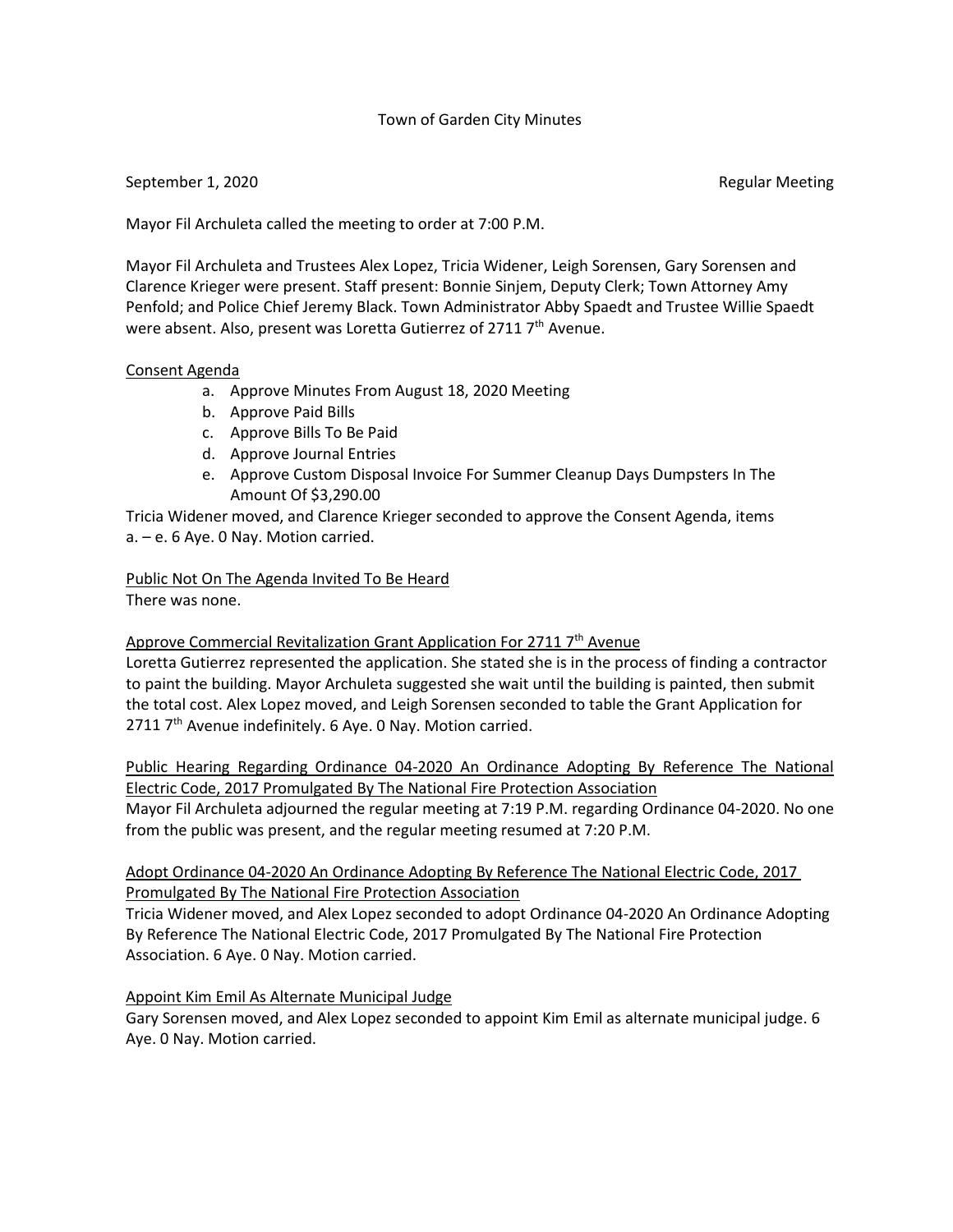# Town of Garden City Minutes

# September 1, 2020 **Regular Meeting** September 1, 2020

Mayor Fil Archuleta called the meeting to order at 7:00 P.M.

Mayor Fil Archuleta and Trustees Alex Lopez, Tricia Widener, Leigh Sorensen, Gary Sorensen and Clarence Krieger were present. Staff present: Bonnie Sinjem, Deputy Clerk; Town Attorney Amy Penfold; and Police Chief Jeremy Black. Town Administrator Abby Spaedt and Trustee Willie Spaedt were absent. Also, present was Loretta Gutierrez of 2711 7<sup>th</sup> Avenue.

# Consent Agenda

- a. Approve Minutes From August 18, 2020 Meeting
- b. Approve Paid Bills
- c. Approve Bills To Be Paid
- d. Approve Journal Entries
- e. Approve Custom Disposal Invoice For Summer Cleanup Days Dumpsters In The Amount Of \$3,290.00

Tricia Widener moved, and Clarence Krieger seconded to approve the Consent Agenda, items a. – e. 6 Aye. 0 Nay. Motion carried.

#### Public Not On The Agenda Invited To Be Heard There was none.

Approve Commercial Revitalization Grant Application For 2711 7<sup>th</sup> Avenue

Loretta Gutierrez represented the application. She stated she is in the process of finding a contractor to paint the building. Mayor Archuleta suggested she wait until the building is painted, then submit the total cost. Alex Lopez moved, and Leigh Sorensen seconded to table the Grant Application for  $2711$   $7<sup>th</sup>$  Avenue indefinitely. 6 Aye. 0 Nay. Motion carried.

Public Hearing Regarding Ordinance 04-2020 An Ordinance Adopting By Reference The National Electric Code, 2017 Promulgated By The National Fire Protection Association

Mayor Fil Archuleta adjourned the regular meeting at 7:19 P.M. regarding Ordinance 04-2020. No one from the public was present, and the regular meeting resumed at 7:20 P.M.

# Adopt Ordinance 04-2020 An Ordinance Adopting By Reference The National Electric Code, 2017 Promulgated By The National Fire Protection Association

Tricia Widener moved, and Alex Lopez seconded to adopt Ordinance 04-2020 An Ordinance Adopting By Reference The National Electric Code, 2017 Promulgated By The National Fire Protection Association. 6 Aye. 0 Nay. Motion carried.

# Appoint Kim Emil As Alternate Municipal Judge

Gary Sorensen moved, and Alex Lopez seconded to appoint Kim Emil as alternate municipal judge. 6 Aye. 0 Nay. Motion carried.